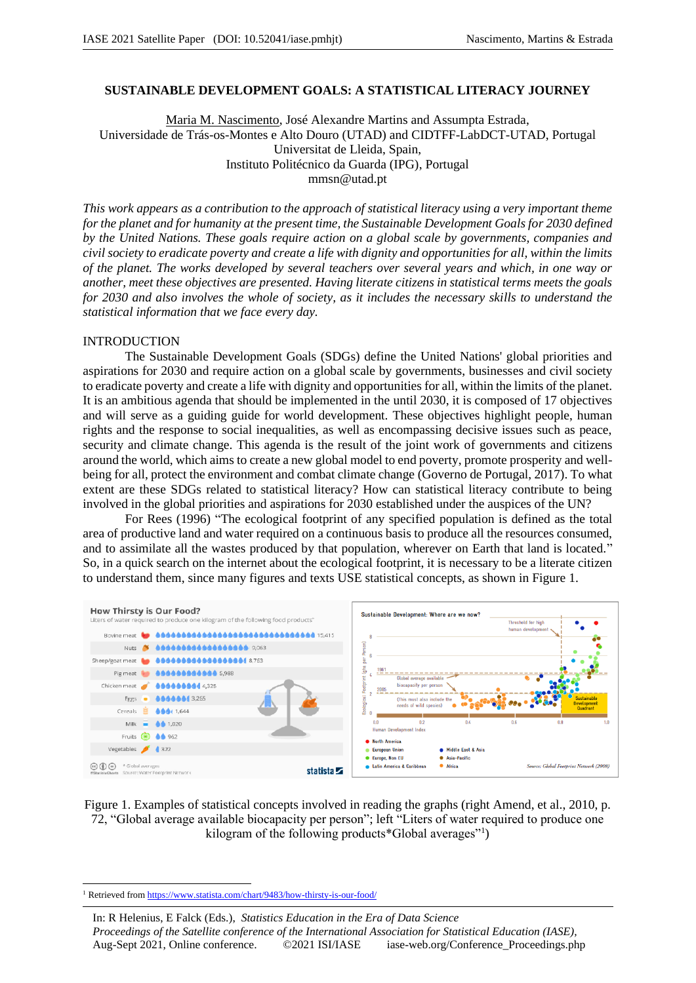## **SUSTAINABLE DEVELOPMENT GOALS: A STATISTICAL LITERACY JOURNEY**

Maria M. Nascimento, José Alexandre Martins and Assumpta Estrada, Universidade de Trás-os-Montes e Alto Douro (UTAD) and CIDTFF-LabDCT-UTAD, Portugal Universitat de Lleida, Spain, Instituto Politécnico da Guarda (IPG), Portugal mmsn@utad.pt

*This work appears as a contribution to the approach of statistical literacy using a very important theme for the planet and for humanity at the present time, the Sustainable Development Goals for 2030 defined by the United Nations. These goals require action on a global scale by governments, companies and civil society to eradicate poverty and create a life with dignity and opportunities for all, within the limits of the planet. The works developed by several teachers over several years and which, in one way or another, meet these objectives are presented. Having literate citizens in statistical terms meets the goals for 2030 and also involves the whole of society, as it includes the necessary skills to understand the statistical information that we face every day.*

#### INTRODUCTION

The Sustainable Development Goals (SDGs) define the United Nations' global priorities and aspirations for 2030 and require action on a global scale by governments, businesses and civil society to eradicate poverty and create a life with dignity and opportunities for all, within the limits of the planet. It is an ambitious agenda that should be implemented in the until 2030, it is composed of 17 objectives and will serve as a guiding guide for world development. These objectives highlight people, human rights and the response to social inequalities, as well as encompassing decisive issues such as peace, security and climate change. This agenda is the result of the joint work of governments and citizens around the world, which aims to create a new global model to end poverty, promote prosperity and wellbeing for all, protect the environment and combat climate change (Governo de Portugal, 2017). To what extent are these SDGs related to statistical literacy? How can statistical literacy contribute to being involved in the global priorities and aspirations for 2030 established under the auspices of the UN?

For Rees (1996) "The ecological footprint of any specified population is defined as the total area of productive land and water required on a continuous basis to produce all the resources consumed, and to assimilate all the wastes produced by that population, wherever on Earth that land is located." So, in a quick search on the internet about the ecological footprint, it is necessary to be a literate citizen to understand them, since many figures and texts USE statistical concepts, as shown in Figure 1.



Figure 1. Examples of statistical concepts involved in reading the graphs (right Amend, et al., 2010, p. 72, "Global average available biocapacity per person"; left "Liters of water required to produce one kilogram of the following products\*Global averages"<sup>1</sup> )

<sup>&</sup>lt;sup>1</sup> Retrieved from https://www.statista.com/chart/9483/how-thirsty-is-our-food/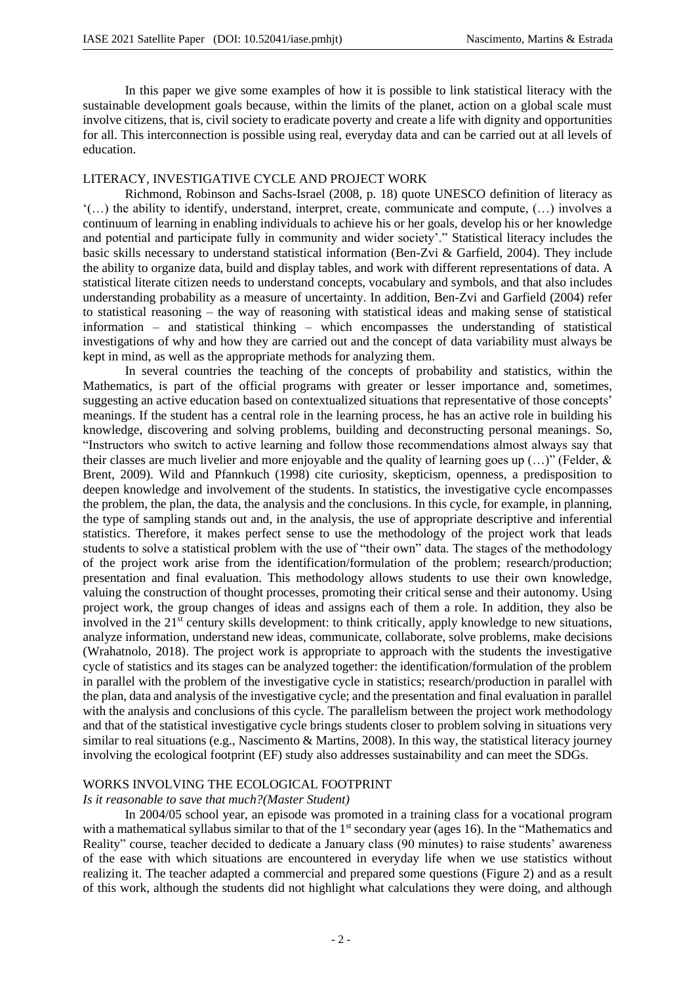In this paper we give some examples of how it is possible to link statistical literacy with the sustainable development goals because, within the limits of the planet, action on a global scale must involve citizens, that is, civil society to eradicate poverty and create a life with dignity and opportunities for all. This interconnection is possible using real, everyday data and can be carried out at all levels of education.

## LITERACY, INVESTIGATIVE CYCLE AND PROJECT WORK

Richmond, Robinson and Sachs-Israel (2008, p. 18) quote UNESCO definition of literacy as '(…) the ability to identify, understand, interpret, create, communicate and compute, (…) involves a continuum of learning in enabling individuals to achieve his or her goals, develop his or her knowledge and potential and participate fully in community and wider society'." Statistical literacy includes the basic skills necessary to understand statistical information (Ben-Zvi & Garfield, 2004). They include the ability to organize data, build and display tables, and work with different representations of data. A statistical literate citizen needs to understand concepts, vocabulary and symbols, and that also includes understanding probability as a measure of uncertainty. In addition, Ben-Zvi and Garfield (2004) refer to statistical reasoning – the way of reasoning with statistical ideas and making sense of statistical information – and statistical thinking – which encompasses the understanding of statistical investigations of why and how they are carried out and the concept of data variability must always be kept in mind, as well as the appropriate methods for analyzing them.

In several countries the teaching of the concepts of probability and statistics, within the Mathematics, is part of the official programs with greater or lesser importance and, sometimes, suggesting an active education based on contextualized situations that representative of those concepts' meanings. If the student has a central role in the learning process, he has an active role in building his knowledge, discovering and solving problems, building and deconstructing personal meanings. So, "Instructors who switch to active learning and follow those recommendations almost always say that their classes are much livelier and more enjoyable and the quality of learning goes up  $(...)$ " (Felder, & Brent, 2009). Wild and Pfannkuch (1998) cite curiosity, skepticism, openness, a predisposition to deepen knowledge and involvement of the students. In statistics, the investigative cycle encompasses the problem, the plan, the data, the analysis and the conclusions. In this cycle, for example, in planning, the type of sampling stands out and, in the analysis, the use of appropriate descriptive and inferential statistics. Therefore, it makes perfect sense to use the methodology of the project work that leads students to solve a statistical problem with the use of "their own" data. The stages of the methodology of the project work arise from the identification/formulation of the problem; research/production; presentation and final evaluation. This methodology allows students to use their own knowledge, valuing the construction of thought processes, promoting their critical sense and their autonomy. Using project work, the group changes of ideas and assigns each of them a role. In addition, they also be involved in the 21<sup>st</sup> century skills development: to think critically, apply knowledge to new situations, analyze information, understand new ideas, communicate, collaborate, solve problems, make decisions (Wrahatnolo, 2018). The project work is appropriate to approach with the students the investigative cycle of statistics and its stages can be analyzed together: the identification/formulation of the problem in parallel with the problem of the investigative cycle in statistics; research/production in parallel with the plan, data and analysis of the investigative cycle; and the presentation and final evaluation in parallel with the analysis and conclusions of this cycle. The parallelism between the project work methodology and that of the statistical investigative cycle brings students closer to problem solving in situations very similar to real situations (e.g., Nascimento & Martins, 2008). In this way, the statistical literacy journey involving the ecological footprint (EF) study also addresses sustainability and can meet the SDGs.

#### WORKS INVOLVING THE ECOLOGICAL FOOTPRINT

#### *Is it reasonable to save that much?(Master Student)*

In 2004/05 school year, an episode was promoted in a training class for a vocational program with a mathematical syllabus similar to that of the  $1<sup>st</sup>$  secondary year (ages 16). In the "Mathematics and Reality" course, teacher decided to dedicate a January class (90 minutes) to raise students' awareness of the ease with which situations are encountered in everyday life when we use statistics without realizing it. The teacher adapted a commercial and prepared some questions (Figure 2) and as a result of this work, although the students did not highlight what calculations they were doing, and although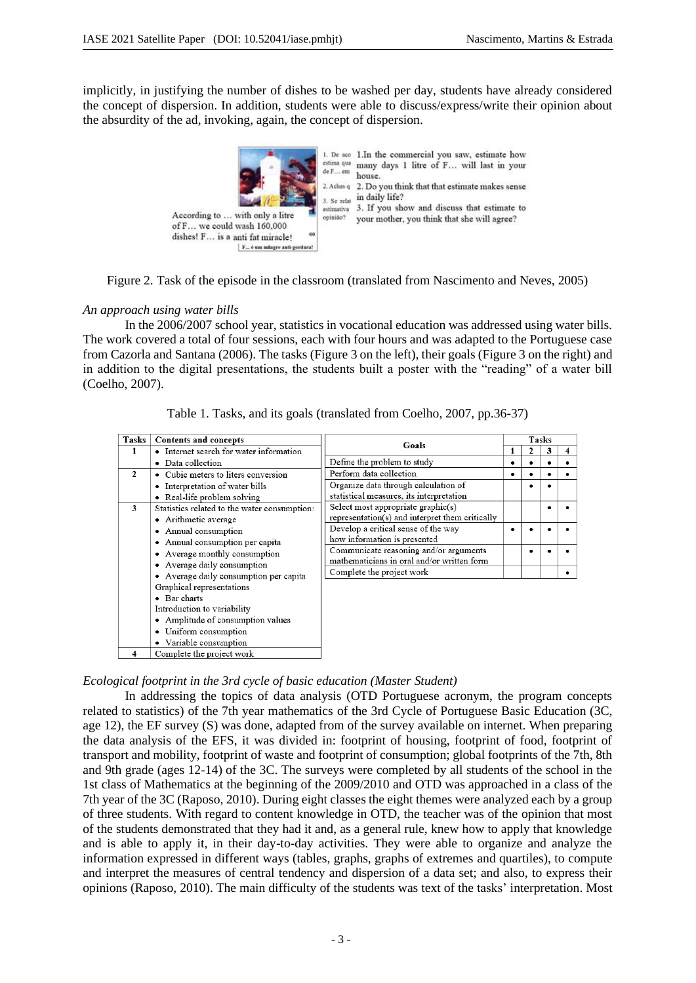implicitly, in justifying the number of dishes to be washed per day, students have already considered the concept of dispersion. In addition, students were able to discuss/express/write their opinion about the absurdity of the ad, invoking, again, the concept of dispersion.



1. De aco 1. In the commercial you saw, estimate how many days 1 litre of F... will last in your house. 2. Achas q 2. Do you think that that estimate makes sense  $3.$  Se relat in daily life? 3. Se ream<br>estimativa 3. If you show and discuss that estimate to your mother, you think that she will agree?



## *An approach using water bills*

In the 2006/2007 school year, statistics in vocational education was addressed using water bills. The work covered a total of four sessions, each with four hours and was adapted to the Portuguese case from Cazorla and Santana (2006). The tasks (Figure 3 on the left), their goals (Figure 3 on the right) and in addition to the digital presentations, the students built a poster with the "reading" of a water bill (Coelho, 2007).

| Tasks        | Contents and concepts                                                                                                                                        | Goals                                                                                 | <b>Tasks</b> |   |   |   |
|--------------|--------------------------------------------------------------------------------------------------------------------------------------------------------------|---------------------------------------------------------------------------------------|--------------|---|---|---|
|              | • Internet search for water information                                                                                                                      |                                                                                       |              | 2 | 3 | 4 |
|              | Data collection<br>$\bullet$                                                                                                                                 | Define the problem to study                                                           | ٠            |   |   |   |
| $\mathbf{2}$ | • Cubic meters to liters conversion                                                                                                                          | Perform data collection                                                               |              |   |   |   |
|              | Interpretation of water bills<br>• Real-life problem solving                                                                                                 | Organize data through calculation of<br>statistical measures, its interpretation      |              |   |   |   |
| 3            | Statistics related to the water consumption:<br>• Arithmetic average                                                                                         | Select most appropriate graphic(s)<br>representation(s) and interpret them critically |              |   | ٠ |   |
|              | Annual consumption<br>Annual consumption per capita<br>Average monthly consumption<br>Average daily consumption                                              | Develop a critical sense of the way<br>how information is presented                   | ٠            |   |   |   |
|              |                                                                                                                                                              | Communicate reasoning and/or arguments<br>mathematicians in oral and/or written form  |              |   |   |   |
|              | Average daily consumption per capita                                                                                                                         | Complete the project work                                                             |              |   |   |   |
|              | Graphical representations<br>• Bar charts<br>Introduction to variability<br>• Amplitude of consumption values<br>Uniform consumption<br>Variable consumption |                                                                                       |              |   |   |   |
| 4            | Complete the project work                                                                                                                                    |                                                                                       |              |   |   |   |

Table 1. Tasks, and its goals (translated from Coelho, 2007, pp.36-37)

# *Ecological footprint in the 3rd cycle of basic education (Master Student)*

In addressing the topics of data analysis (OTD Portuguese acronym, the program concepts related to statistics) of the 7th year mathematics of the 3rd Cycle of Portuguese Basic Education (3C, age 12), the EF survey (S) was done, adapted from of the survey available on internet. When preparing the data analysis of the EFS, it was divided in: footprint of housing, footprint of food, footprint of transport and mobility, footprint of waste and footprint of consumption; global footprints of the 7th, 8th and 9th grade (ages 12-14) of the 3C. The surveys were completed by all students of the school in the 1st class of Mathematics at the beginning of the 2009/2010 and OTD was approached in a class of the 7th year of the 3C (Raposo, 2010). During eight classes the eight themes were analyzed each by a group of three students. With regard to content knowledge in OTD, the teacher was of the opinion that most of the students demonstrated that they had it and, as a general rule, knew how to apply that knowledge and is able to apply it, in their day-to-day activities. They were able to organize and analyze the information expressed in different ways (tables, graphs, graphs of extremes and quartiles), to compute and interpret the measures of central tendency and dispersion of a data set; and also, to express their opinions (Raposo, 2010). The main difficulty of the students was text of the tasks' interpretation. Most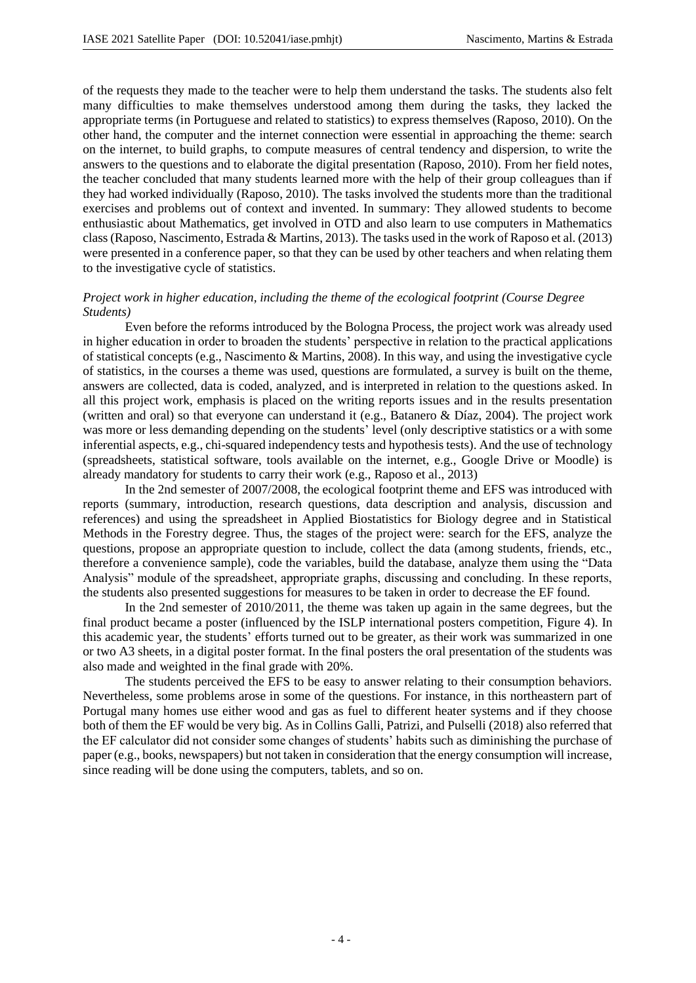of the requests they made to the teacher were to help them understand the tasks. The students also felt many difficulties to make themselves understood among them during the tasks, they lacked the appropriate terms (in Portuguese and related to statistics) to express themselves (Raposo, 2010). On the other hand, the computer and the internet connection were essential in approaching the theme: search on the internet, to build graphs, to compute measures of central tendency and dispersion, to write the answers to the questions and to elaborate the digital presentation (Raposo, 2010). From her field notes, the teacher concluded that many students learned more with the help of their group colleagues than if they had worked individually (Raposo, 2010). The tasks involved the students more than the traditional exercises and problems out of context and invented. In summary: They allowed students to become enthusiastic about Mathematics, get involved in OTD and also learn to use computers in Mathematics class (Raposo, Nascimento, Estrada & Martins, 2013). The tasks used in the work of Raposo et al. (2013) were presented in a conference paper, so that they can be used by other teachers and when relating them to the investigative cycle of statistics.

## *Project work in higher education, including the theme of the ecological footprint (Course Degree Students)*

Even before the reforms introduced by the Bologna Process, the project work was already used in higher education in order to broaden the students' perspective in relation to the practical applications of statistical concepts (e.g., Nascimento & Martins, 2008). In this way, and using the investigative cycle of statistics, in the courses a theme was used, questions are formulated, a survey is built on the theme, answers are collected, data is coded, analyzed, and is interpreted in relation to the questions asked. In all this project work, emphasis is placed on the writing reports issues and in the results presentation (written and oral) so that everyone can understand it (e.g., Batanero & Díaz, 2004). The project work was more or less demanding depending on the students' level (only descriptive statistics or a with some inferential aspects, e.g., chi-squared independency tests and hypothesis tests). And the use of technology (spreadsheets, statistical software, tools available on the internet, e.g., Google Drive or Moodle) is already mandatory for students to carry their work (e.g., Raposo et al., 2013)

In the 2nd semester of 2007/2008, the ecological footprint theme and EFS was introduced with reports (summary, introduction, research questions, data description and analysis, discussion and references) and using the spreadsheet in Applied Biostatistics for Biology degree and in Statistical Methods in the Forestry degree. Thus, the stages of the project were: search for the EFS, analyze the questions, propose an appropriate question to include, collect the data (among students, friends, etc., therefore a convenience sample), code the variables, build the database, analyze them using the "Data Analysis" module of the spreadsheet, appropriate graphs, discussing and concluding. In these reports, the students also presented suggestions for measures to be taken in order to decrease the EF found.

In the 2nd semester of 2010/2011, the theme was taken up again in the same degrees, but the final product became a poster (influenced by the ISLP international posters competition, Figure 4). In this academic year, the students' efforts turned out to be greater, as their work was summarized in one or two A3 sheets, in a digital poster format. In the final posters the oral presentation of the students was also made and weighted in the final grade with 20%.

The students perceived the EFS to be easy to answer relating to their consumption behaviors. Nevertheless, some problems arose in some of the questions. For instance, in this northeastern part of Portugal many homes use either wood and gas as fuel to different heater systems and if they choose both of them the EF would be very big. As in Collins Galli, Patrizi, and Pulselli (2018) also referred that the EF calculator did not consider some changes of students' habits such as diminishing the purchase of paper (e.g., books, newspapers) but not taken in consideration that the energy consumption will increase, since reading will be done using the computers, tablets, and so on.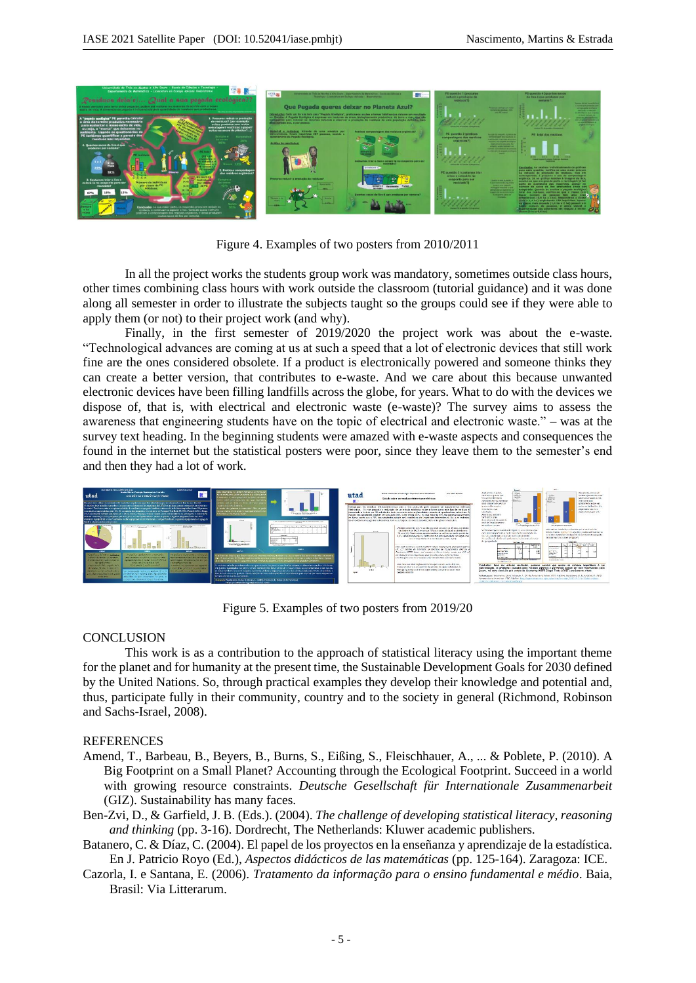

Figure 4. Examples of two posters from 2010/2011

In all the project works the students group work was mandatory, sometimes outside class hours, other times combining class hours with work outside the classroom (tutorial guidance) and it was done along all semester in order to illustrate the subjects taught so the groups could see if they were able to apply them (or not) to their project work (and why).

Finally, in the first semester of 2019/2020 the project work was about the e-waste. "Technological advances are coming at us at such a speed that a lot of electronic devices that still work fine are the ones considered obsolete. If a product is electronically powered and someone thinks they can create a better version, that contributes to e-waste. And we care about this because unwanted electronic devices have been filling landfills across the globe, for years. What to do with the devices we dispose of, that is, with electrical and electronic waste (e-waste)? The survey aims to assess the awareness that engineering students have on the topic of electrical and electronic waste." – was at the survey text heading. In the beginning students were amazed with e-waste aspects and consequences the found in the internet but the statistical posters were poor, since they leave them to the semester's end and then they had a lot of work.



Figure 5. Examples of two posters from 2019/20

## **CONCLUSION**

This work is as a contribution to the approach of statistical literacy using the important theme for the planet and for humanity at the present time, the Sustainable Development Goals for 2030 defined by the United Nations. So, through practical examples they develop their knowledge and potential and, thus, participate fully in their community, country and to the society in general (Richmond, Robinson and Sachs-Israel, 2008).

#### REFERENCES

- Amend, T., Barbeau, B., Beyers, B., Burns, S., Eißing, S., Fleischhauer, A., ... & Poblete, P. (2010). A Big Footprint on a Small Planet? Accounting through the Ecological Footprint. Succeed in a world with growing resource constraints. *Deutsche Gesellschaft für Internationale Zusammenarbeit* (GIZ). Sustainability has many faces.
- Ben-Zvi, D., & Garfield, J. B. (Eds.). (2004). *The challenge of developing statistical literacy, reasoning and thinking* (pp. 3-16). Dordrecht, The Netherlands: Kluwer academic publishers.
- Batanero, C. & Díaz, C. (2004). El papel de los proyectos en la enseñanza y aprendizaje de la estadística. En J. Patricio Royo (Ed.), *Aspectos didácticos de las matemáticas* (pp. 125-164). Zaragoza: ICE.
- Cazorla, I. e Santana, E. (2006). *Tratamento da informação para o ensino fundamental e médio*. Baia, Brasil: Via Litterarum.